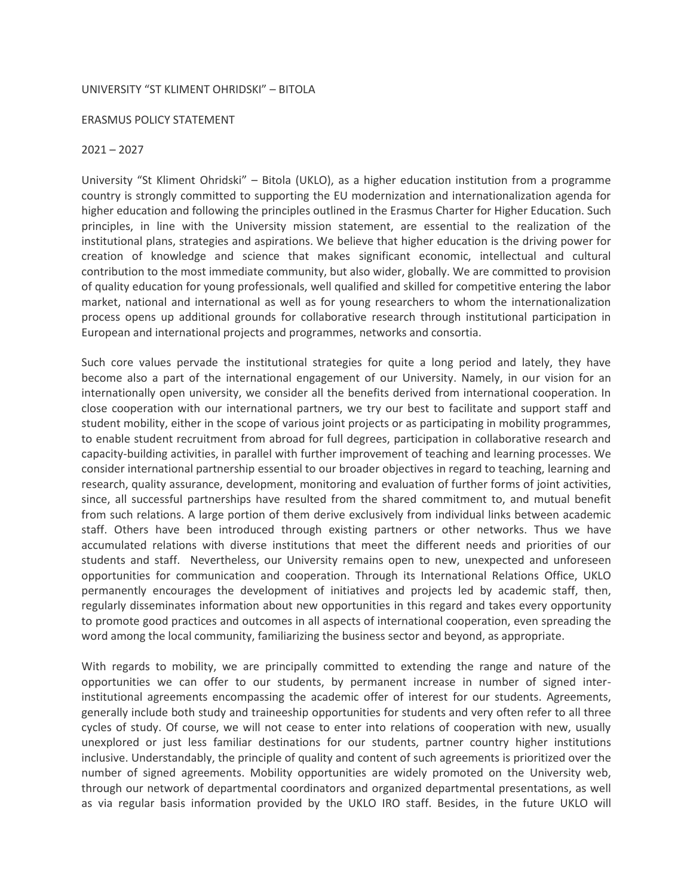## UNIVERSITY "ST KLIMENT OHRIDSKI" – BITOLA

## ERASMUS POLICY STATEMENT

## $2021 - 2027$

University "St Kliment Ohridski" – Bitola (UKLO), as a higher education institution from a programme country is strongly committed to supporting the EU modernization and internationalization agenda for higher education and following the principles outlined in the Erasmus Charter for Higher Education. Such principles, in line with the University mission statement, are essential to the realization of the institutional plans, strategies and aspirations. We believe that higher education is the driving power for creation of knowledge and science that makes significant economic, intellectual and cultural contribution to the most immediate community, but also wider, globally. We are committed to provision of quality education for young professionals, well qualified and skilled for competitive entering the labor market, national and international as well as for young researchers to whom the internationalization process opens up additional grounds for collaborative research through institutional participation in European and international projects and programmes, networks and consortia.

Such core values pervade the institutional strategies for quite a long period and lately, they have become also a part of the international engagement of our University. Namely, in our vision for an internationally open university, we consider all the benefits derived from international cooperation. In close cooperation with our international partners, we try our best to facilitate and support staff and student mobility, either in the scope of various joint projects or as participating in mobility programmes, to enable student recruitment from abroad for full degrees, participation in collaborative research and capacity-building activities, in parallel with further improvement of teaching and learning processes. We consider international partnership essential to our broader objectives in regard to teaching, learning and research, quality assurance, development, monitoring and evaluation of further forms of joint activities, since, all successful partnerships have resulted from the shared commitment to, and mutual benefit from such relations. A large portion of them derive exclusively from individual links between academic staff. Others have been introduced through existing partners or other networks. Thus we have accumulated relations with diverse institutions that meet the different needs and priorities of our students and staff. Nevertheless, our University remains open to new, unexpected and unforeseen opportunities for communication and cooperation. Through its International Relations Office, UKLO permanently encourages the development of initiatives and projects led by academic staff, then, regularly disseminates information about new opportunities in this regard and takes every opportunity to promote good practices and outcomes in all aspects of international cooperation, even spreading the word among the local community, familiarizing the business sector and beyond, as appropriate.

With regards to mobility, we are principally committed to extending the range and nature of the opportunities we can offer to our students, by permanent increase in number of signed interinstitutional agreements encompassing the academic offer of interest for our students. Agreements, generally include both study and traineeship opportunities for students and very often refer to all three cycles of study. Of course, we will not cease to enter into relations of cooperation with new, usually unexplored or just less familiar destinations for our students, partner country higher institutions inclusive. Understandably, the principle of quality and content of such agreements is prioritized over the number of signed agreements. Mobility opportunities are widely promoted on the University web, through our network of departmental coordinators and organized departmental presentations, as well as via regular basis information provided by the UKLO IRO staff. Besides, in the future UKLO will